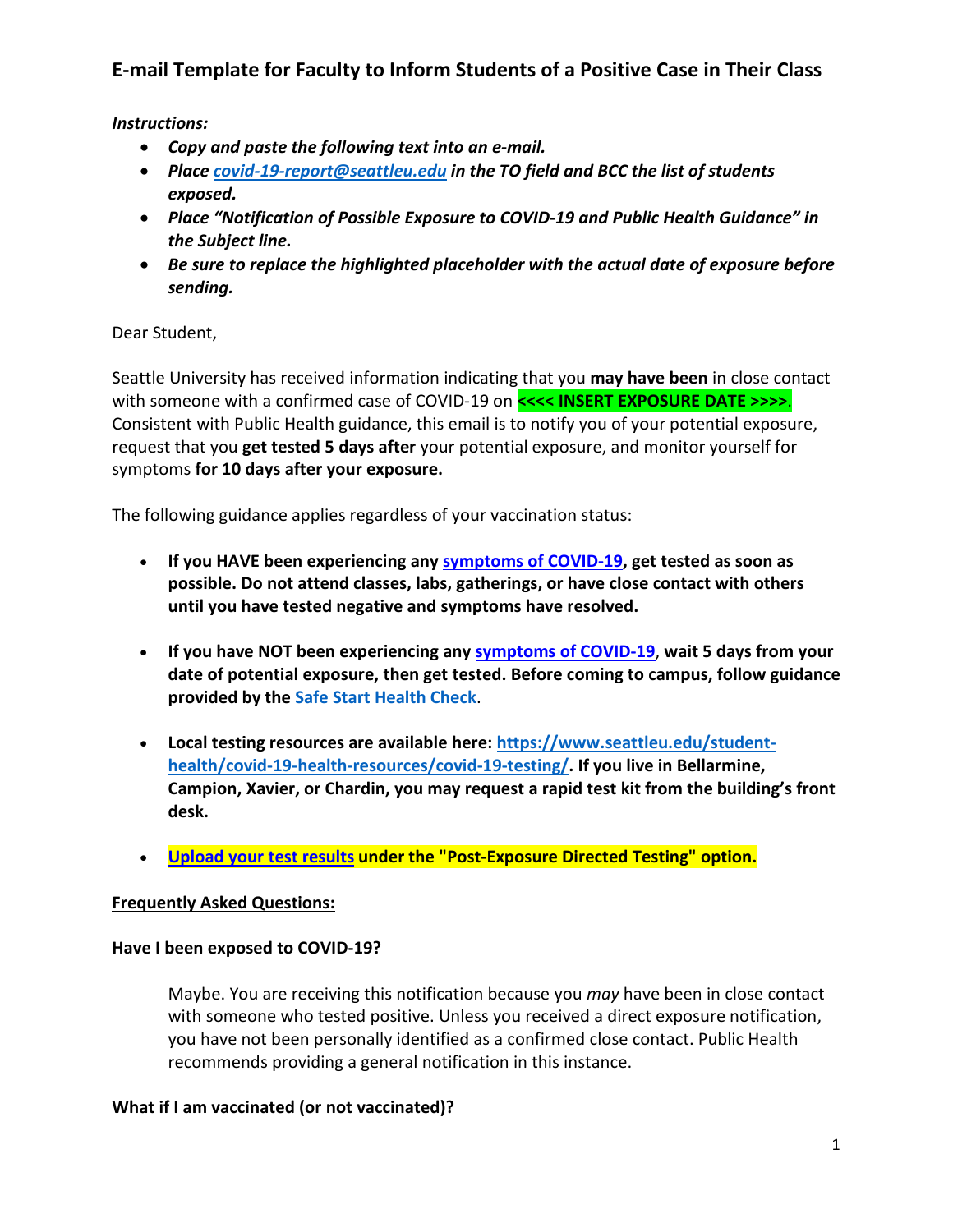# **E-mail Template for Faculty to Inform Students of a Positive Case in Their Class**

*Instructions:*

- *Copy and paste the following text into an e-mail.*
- *Place [covid-19-report@seattleu.edu](mailto:covid-19-report@seattleu.edu) in the TO field and BCC the list of students exposed.*
- *Place "Notification of Possible Exposure to COVID-19 and Public Health Guidance" in the Subject line.*
- *Be sure to replace the highlighted placeholder with the actual date of exposure before sending.*

Dear Student,

Seattle University has received information indicating that you **may have been** in close contact with someone with a confirmed case of COVID-19 on **<<<< INSERT EXPOSURE DATE >>>>.** Consistent with Public Health guidance, this email is to notify you of your potential exposure, request that you **get tested 5 days after** your potential exposure, and monitor yourself for symptoms **for 10 days after your exposure.**

The following guidance applies regardless of your vaccination status:

- **If you HAVE been experiencing any [symptoms of COVID-19,](https://nam02.safelinks.protection.outlook.com/?url=https%3A%2F%2Fwww.cdc.gov%2Fcoronavirus%2F2019-ncov%2Fsymptoms-testing%2Fsymptoms.html&data=04%7C01%7Ccovid-19-report%40seattleu.edu%7C77a538f3ece640b2a1de08d9d7c71661%7Cbc10e052b01c48499967ee7ec74fc9d8%7C0%7C0%7C637778072351011695%7CUnknown%7CTWFpbGZsb3d8eyJWIjoiMC4wLjAwMDAiLCJQIjoiV2luMzIiLCJBTiI6Ik1haWwiLCJXVCI6Mn0%3D%7C3000&sdata=Q5ukCDtplP6EEB0OOhPLGBr0sN5ZsUMDLbyLa%2FD2zlQ%3D&reserved=0) get tested as soon as possible. Do not attend classes, labs, gatherings, or have close contact with others until you have tested negative and symptoms have resolved.**
- **If you have NOT been experiencing any [symptoms of COVID-19](https://nam02.safelinks.protection.outlook.com/?url=https%3A%2F%2Fwww.cdc.gov%2Fcoronavirus%2F2019-ncov%2Fsymptoms-testing%2Fsymptoms.html&data=04%7C01%7Ccovid-19-report%40seattleu.edu%7C77a538f3ece640b2a1de08d9d7c71661%7Cbc10e052b01c48499967ee7ec74fc9d8%7C0%7C0%7C637778072351011695%7CUnknown%7CTWFpbGZsb3d8eyJWIjoiMC4wLjAwMDAiLCJQIjoiV2luMzIiLCJBTiI6Ik1haWwiLCJXVCI6Mn0%3D%7C3000&sdata=Q5ukCDtplP6EEB0OOhPLGBr0sN5ZsUMDLbyLa%2FD2zlQ%3D&reserved=0)**, **wait 5 days from your date of potential exposure, then get tested. Before coming to campus, follow guidance provided by the [Safe Start Health Check](https://nam02.safelinks.protection.outlook.com/?url=https%3A%2F%2Fwww.seattleu.edu%2Fcoronavirus%2Fscreening&data=04%7C01%7Ccovid-19-report%40seattleu.edu%7C77a538f3ece640b2a1de08d9d7c71661%7Cbc10e052b01c48499967ee7ec74fc9d8%7C0%7C0%7C637778072351011695%7CUnknown%7CTWFpbGZsb3d8eyJWIjoiMC4wLjAwMDAiLCJQIjoiV2luMzIiLCJBTiI6Ik1haWwiLCJXVCI6Mn0%3D%7C3000&sdata=g8hM4eJOvBWCWywsLiVYZ0a%2FS4rAUAsKvaedaR1bmvk%3D&reserved=0)**.
- **Local testing resources are available here: [https://www.seattleu.edu/student](https://nam02.safelinks.protection.outlook.com/?url=https%3A%2F%2Fwww.seattleu.edu%2Fstudent-health%2Fcovid-19-health-resources%2Fcovid-19-testing%2F&data=04%7C01%7Ccovid-19-report%40seattleu.edu%7C77a538f3ece640b2a1de08d9d7c71661%7Cbc10e052b01c48499967ee7ec74fc9d8%7C0%7C0%7C637778072351011695%7CUnknown%7CTWFpbGZsb3d8eyJWIjoiMC4wLjAwMDAiLCJQIjoiV2luMzIiLCJBTiI6Ik1haWwiLCJXVCI6Mn0%3D%7C3000&sdata=sHNdrIxo7zSTbM9toJSXpjYg%2Bix0F5vtk0ZOmUmLobs%3D&reserved=0)[health/covid-19-health-resources/covid-19-testing/.](https://nam02.safelinks.protection.outlook.com/?url=https%3A%2F%2Fwww.seattleu.edu%2Fstudent-health%2Fcovid-19-health-resources%2Fcovid-19-testing%2F&data=04%7C01%7Ccovid-19-report%40seattleu.edu%7C77a538f3ece640b2a1de08d9d7c71661%7Cbc10e052b01c48499967ee7ec74fc9d8%7C0%7C0%7C637778072351011695%7CUnknown%7CTWFpbGZsb3d8eyJWIjoiMC4wLjAwMDAiLCJQIjoiV2luMzIiLCJBTiI6Ik1haWwiLCJXVCI6Mn0%3D%7C3000&sdata=sHNdrIxo7zSTbM9toJSXpjYg%2Bix0F5vtk0ZOmUmLobs%3D&reserved=0) If you live in Bellarmine, Campion, Xavier, or Chardin, you may request a rapid test kit from the building's front desk.**
- **[Upload your test results](https://forms.office.com/Pages/ResponsePage.aspx?id=UuAQvBywSUiZZ-5-x0_J2JXoEsux15xJh0xDP1C0CuxUMEtaUjdFMjVFNUYyMFNCWTlGMjg5OTlERy4u) under the "Post-Exposure Directed Testing" option.**

## **Frequently Asked Questions:**

## **Have I been exposed to COVID-19?**

Maybe. You are receiving this notification because you *may* have been in close contact with someone who tested positive. Unless you received a direct exposure notification, you have not been personally identified as a confirmed close contact. Public Health recommends providing a general notification in this instance.

## **What if I am vaccinated (or not vaccinated)?**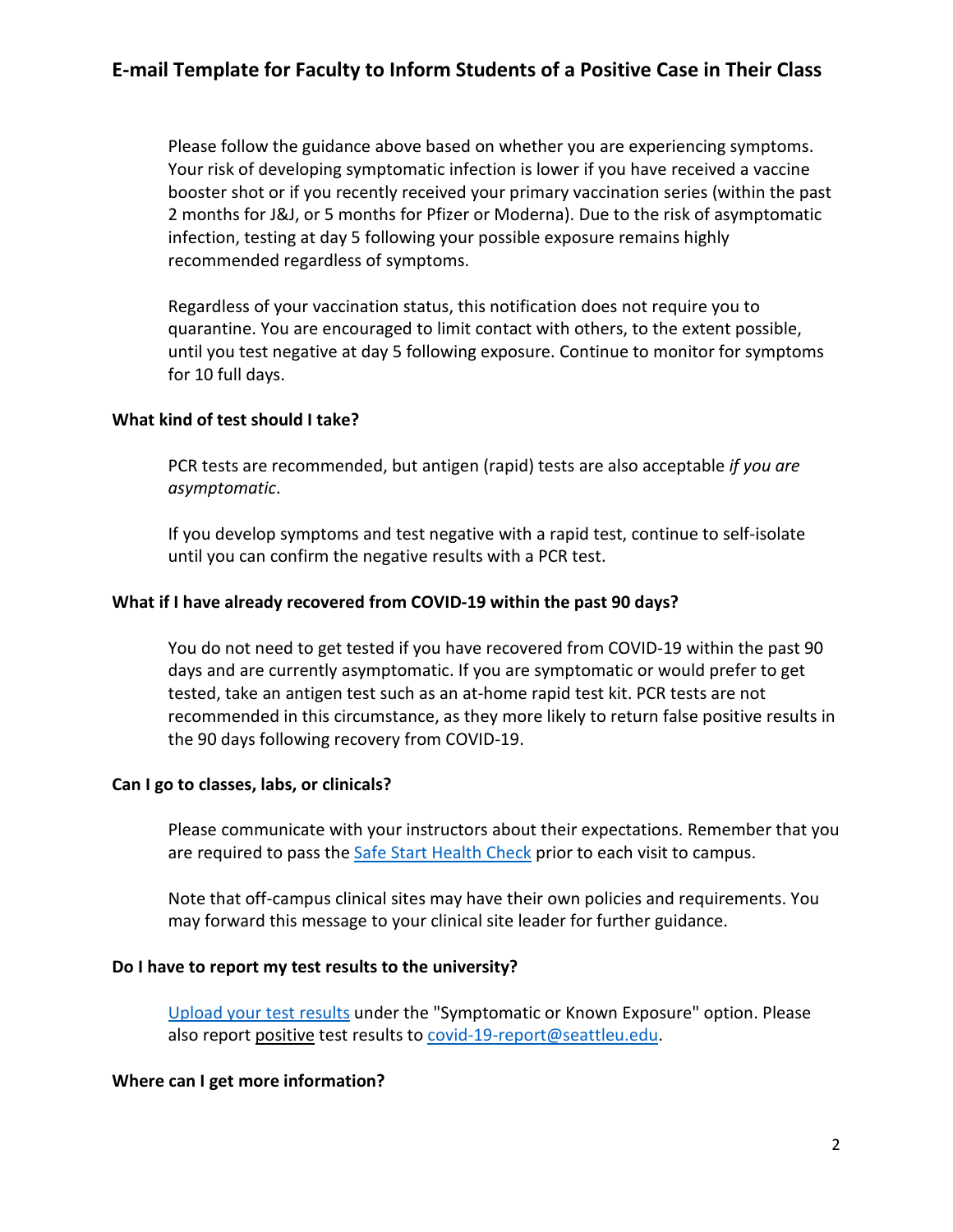Please follow the guidance above based on whether you are experiencing symptoms. Your risk of developing symptomatic infection is lower if you have received a vaccine booster shot or if you recently received your primary vaccination series (within the past 2 months for J&J, or 5 months for Pfizer or Moderna). Due to the risk of asymptomatic infection, testing at day 5 following your possible exposure remains highly recommended regardless of symptoms.

Regardless of your vaccination status, this notification does not require you to quarantine. You are encouraged to limit contact with others, to the extent possible, until you test negative at day 5 following exposure. Continue to monitor for symptoms for 10 full days.

#### **What kind of test should I take?**

PCR tests are recommended, but antigen (rapid) tests are also acceptable *if you are asymptomatic*.

If you develop symptoms and test negative with a rapid test, continue to self-isolate until you can confirm the negative results with a PCR test.

#### **What if I have already recovered from COVID-19 within the past 90 days?**

You do not need to get tested if you have recovered from COVID-19 within the past 90 days and are currently asymptomatic. If you are symptomatic or would prefer to get tested, take an antigen test such as an at-home rapid test kit. PCR tests are not recommended in this circumstance, as they more likely to return false positive results in the 90 days following recovery from COVID-19.

#### **Can I go to classes, labs, or clinicals?**

Please communicate with your instructors about their expectations. Remember that you are required to pass the [Safe Start Health Check](https://nam02.safelinks.protection.outlook.com/?url=https%3A%2F%2Fwww.seattleu.edu%2Fcoronavirus%2Fscreening&data=04%7C01%7Ccovid-19-report%40seattleu.edu%7C77a538f3ece640b2a1de08d9d7c71661%7Cbc10e052b01c48499967ee7ec74fc9d8%7C0%7C0%7C637778072351011695%7CUnknown%7CTWFpbGZsb3d8eyJWIjoiMC4wLjAwMDAiLCJQIjoiV2luMzIiLCJBTiI6Ik1haWwiLCJXVCI6Mn0%3D%7C3000&sdata=g8hM4eJOvBWCWywsLiVYZ0a%2FS4rAUAsKvaedaR1bmvk%3D&reserved=0) prior to each visit to campus.

Note that off-campus clinical sites may have their own policies and requirements. You may forward this message to your clinical site leader for further guidance.

#### **Do I have to report my test results to the university?**

[Upload your test results](https://forms.office.com/Pages/ResponsePage.aspx?id=UuAQvBywSUiZZ-5-x0_J2JXoEsux15xJh0xDP1C0CuxUMEtaUjdFMjVFNUYyMFNCWTlGMjg5OTlERy4u) under the "Symptomatic or Known Exposure" option. Please also report positive test results t[o covid-19-report@seattleu.edu.](mailto:covid-19-report@seattleu.edu)

#### **Where can I get more information?**